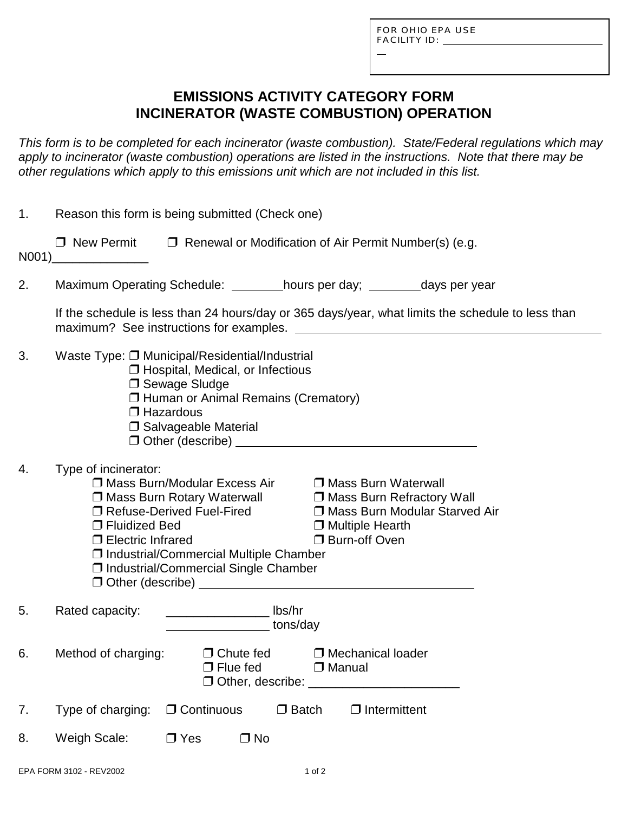L

# **EMISSIONS ACTIVITY CATEGORY FORM INCINERATOR (WASTE COMBUSTION) OPERATION**

*This form is to be completed for each incinerator (waste combustion). State/Federal regulations which may apply to incinerator (waste combustion) operations are listed in the instructions. Note that there may be other regulations which apply to this emissions unit which are not included in this list.*

| 1. | Reason this form is being submitted (Check one)                                                                                                                                                                                                                                                                                                                                                              |  |  |  |  |  |  |  |  |  |
|----|--------------------------------------------------------------------------------------------------------------------------------------------------------------------------------------------------------------------------------------------------------------------------------------------------------------------------------------------------------------------------------------------------------------|--|--|--|--|--|--|--|--|--|
|    | $\Box$ New Permit $\Box$ Renewal or Modification of Air Permit Number(s) (e.g.                                                                                                                                                                                                                                                                                                                               |  |  |  |  |  |  |  |  |  |
| 2. | Maximum Operating Schedule: _________hours per day; _________days per year                                                                                                                                                                                                                                                                                                                                   |  |  |  |  |  |  |  |  |  |
|    | If the schedule is less than 24 hours/day or 365 days/year, what limits the schedule to less than                                                                                                                                                                                                                                                                                                            |  |  |  |  |  |  |  |  |  |
| 3. | Waste Type: □ Municipal/Residential/Industrial<br>$\Box$ Hospital, Medical, or Infectious<br>□ Sewage Sludge<br>□ Human or Animal Remains (Crematory)<br>$\Box$ Hazardous<br>□ Salvageable Material                                                                                                                                                                                                          |  |  |  |  |  |  |  |  |  |
| 4. | Type of incinerator:<br>□ Mass Burn/Modular Excess Air □ Mass Burn Waterwall<br>$\square$ Mass Burn Rotary Waterwall $\square$ Mass Burn Refractory Wall<br>□ Refuse-Derived Fuel-Fired<br>□ Mass Burn Modular Starved Air<br>□ Fluidized Bed<br>$\Box$ Multiple Hearth<br>□ Burn-off Oven<br>$\Box$ Electric Infrared<br>□ Industrial/Commercial Multiple Chamber<br>□ Industrial/Commercial Single Chamber |  |  |  |  |  |  |  |  |  |
| 5. | _______________________ lbs/hr<br>Rated capacity:<br><b>Example 10</b> tons/day                                                                                                                                                                                                                                                                                                                              |  |  |  |  |  |  |  |  |  |
| 6. | □ Mechanical loader<br>Method of charging: $\Box$ Chute fed<br>$\Box$ Flue fed<br>$\Box$ Manual<br>$\Box$ Other, describe: $\Box$                                                                                                                                                                                                                                                                            |  |  |  |  |  |  |  |  |  |
| 7. | $\Box$ Continuous<br>Type of charging:<br>$\Box$ Batch<br>$\Box$ Intermittent                                                                                                                                                                                                                                                                                                                                |  |  |  |  |  |  |  |  |  |
| 8. | Weigh Scale:<br>$\Box$ No<br>$\Box$ Yes                                                                                                                                                                                                                                                                                                                                                                      |  |  |  |  |  |  |  |  |  |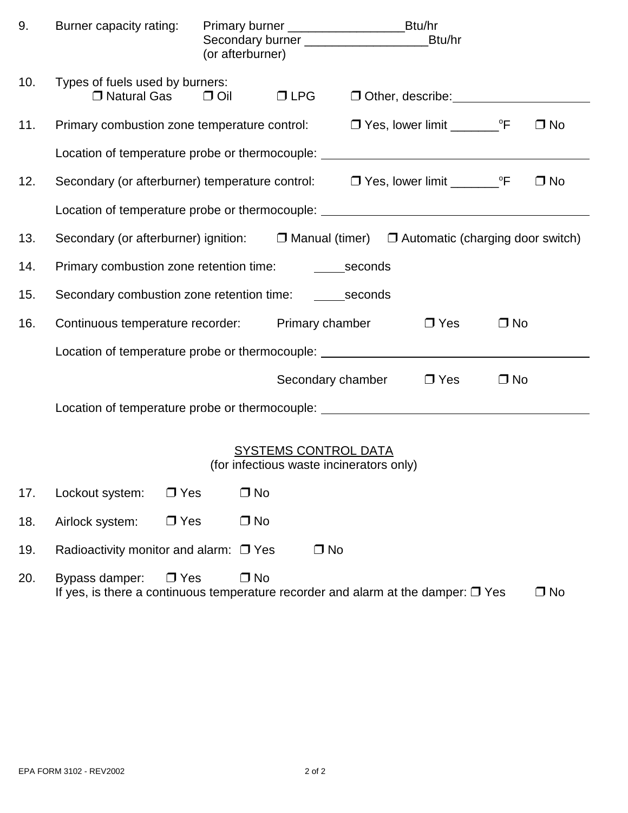| 9.  | Burner capacity rating:                                                                                  |            | (or afterburner) |  |            |  |           |           |  |  |  |
|-----|----------------------------------------------------------------------------------------------------------|------------|------------------|--|------------|--|-----------|-----------|--|--|--|
| 10. | Types of fuels used by burners:<br>$\Box$ Natural Gas $\Box$ Oil                                         |            | $\Box$ LPG       |  |            |  |           |           |  |  |  |
| 11. | Primary combustion zone temperature control:                                                             |            |                  |  |            |  |           | $\Box$ No |  |  |  |
|     | Location of temperature probe or thermocouple: _________________________________                         |            |                  |  |            |  |           |           |  |  |  |
| 12. | Secondary (or afterburner) temperature control: $\Box$ Yes, lower limit _________ °F                     |            |                  |  |            |  |           | $\Box$ No |  |  |  |
|     | Location of temperature probe or thermocouple: _________________________________                         |            |                  |  |            |  |           |           |  |  |  |
| 13. | Secondary (or afterburner) ignition: $\Box$ Manual (timer) $\Box$ Automatic (charging door switch)       |            |                  |  |            |  |           |           |  |  |  |
| 14. |                                                                                                          |            |                  |  |            |  |           |           |  |  |  |
| 15. |                                                                                                          |            |                  |  |            |  |           |           |  |  |  |
| 16. | Continuous temperature recorder: Primary chamber                                                         |            |                  |  | $\Box$ Yes |  | $\Box$ No |           |  |  |  |
|     | Location of temperature probe or thermocouple: _________________________________                         |            |                  |  |            |  |           |           |  |  |  |
|     | $\Box$ Yes<br>Secondary chamber                                                                          |            |                  |  |            |  | $\Box$ No |           |  |  |  |
|     | Location of temperature probe or thermocouple: _________________________________                         |            |                  |  |            |  |           |           |  |  |  |
|     | SYSTEMS CONTROL DATA<br>(for infectious waste incinerators only)                                         |            |                  |  |            |  |           |           |  |  |  |
| 17. | Lockout system:                                                                                          | $\Box$ Yes | $\Box$ No        |  |            |  |           |           |  |  |  |
| 18. | Airlock system:                                                                                          | $\Box$ Yes | $\Box$ No        |  |            |  |           |           |  |  |  |
| 19. | $\Box$ No<br>Radioactivity monitor and alarm: $\Box$ Yes                                                 |            |                  |  |            |  |           |           |  |  |  |
| 20. | Bypass damper:<br>If yes, is there a continuous temperature recorder and alarm at the damper: $\Box$ Yes | $\Box$ Yes | $\Box$ No        |  |            |  |           | $\Box$ No |  |  |  |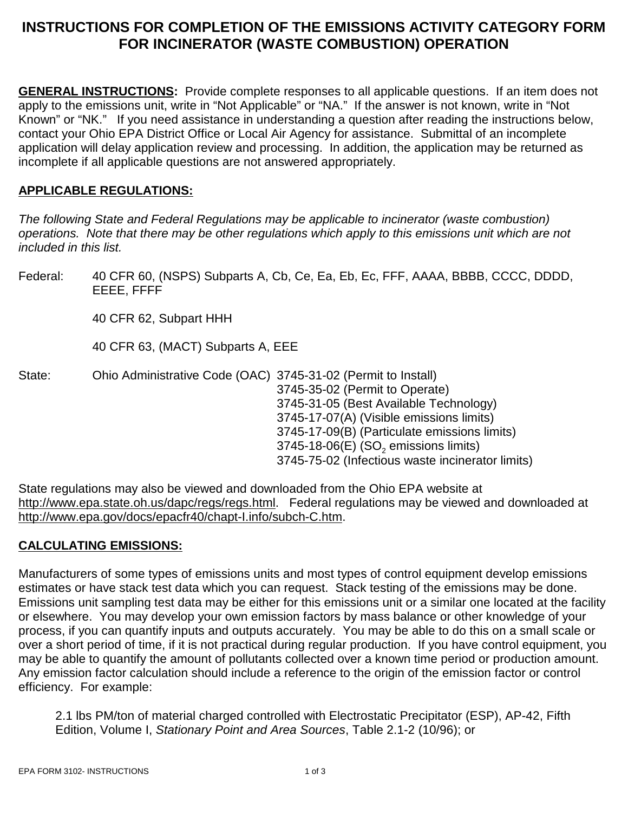# **INSTRUCTIONS FOR COMPLETION OF THE EMISSIONS ACTIVITY CATEGORY FORM FOR INCINERATOR (WASTE COMBUSTION) OPERATION**

**GENERAL INSTRUCTIONS:** Provide complete responses to all applicable questions. If an item does not apply to the emissions unit, write in "Not Applicable" or "NA." If the answer is not known, write in "Not Known" or "NK." If you need assistance in understanding a question after reading the instructions below, contact your Ohio EPA District Office or Local Air Agency for assistance. Submittal of an incomplete application will delay application review and processing. In addition, the application may be returned as incomplete if all applicable questions are not answered appropriately.

### **APPLICABLE REGULATIONS:**

*The following State and Federal Regulations may be applicable to incinerator (waste combustion) operations. Note that there may be other regulations which apply to this emissions unit which are not included in this list.*

Federal: 40 CFR 60, (NSPS) Subparts A, Cb, Ce, Ea, Eb, Ec, FFF, AAAA, BBBB, CCCC, DDDD, EEEE, FFFF

40 CFR 62, Subpart HHH

40 CFR 63, (MACT) Subparts A, EEE

State: Ohio Administrative Code (OAC) 3745-31-02 (Permit to Install) 3745-35-02 (Permit to Operate) 3745-31-05 (Best Available Technology) 3745-17-07(A) (Visible emissions limits) 3745-17-09(B) (Particulate emissions limits)  $3745-18-06(E)$  (SO<sub>2</sub> emissions limits) 3745-75-02 (Infectious waste incinerator limits)

State regulations may also be viewed and downloaded from the Ohio EPA website at http://www.epa.state.oh.us/dapc/regs/regs.html. Federal regulations may be viewed and downloaded at http://www.epa.gov/docs/epacfr40/chapt-I.info/subch-C.htm.

### **CALCULATING EMISSIONS:**

Manufacturers of some types of emissions units and most types of control equipment develop emissions estimates or have stack test data which you can request. Stack testing of the emissions may be done. Emissions unit sampling test data may be either for this emissions unit or a similar one located at the facility or elsewhere. You may develop your own emission factors by mass balance or other knowledge of your process, if you can quantify inputs and outputs accurately. You may be able to do this on a small scale or over a short period of time, if it is not practical during regular production. If you have control equipment, you may be able to quantify the amount of pollutants collected over a known time period or production amount. Any emission factor calculation should include a reference to the origin of the emission factor or control efficiency. For example:

2.1 lbs PM/ton of material charged controlled with Electrostatic Precipitator (ESP), AP-42, Fifth Edition, Volume I, *Stationary Point and Area Sources*, Table 2.1-2 (10/96); or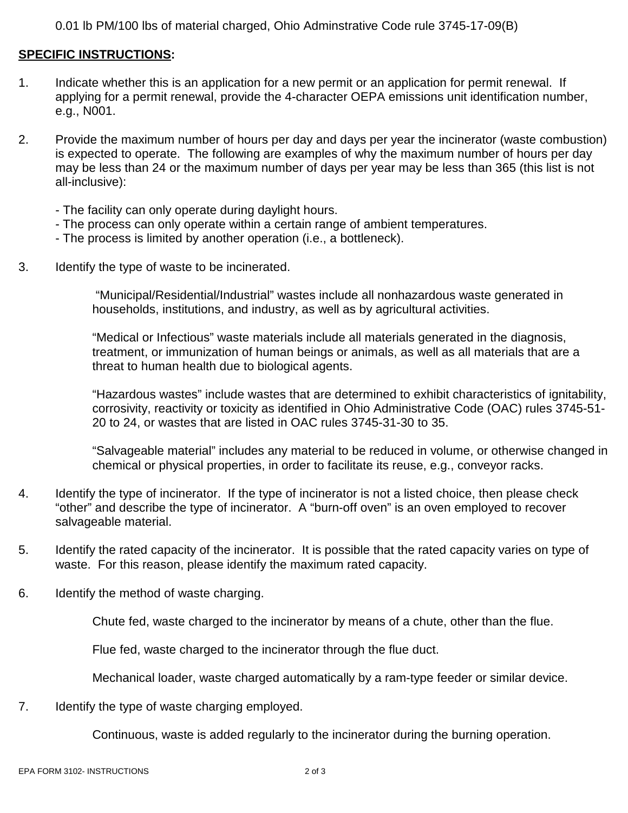0.01 lb PM/100 lbs of material charged, Ohio Adminstrative Code rule 3745-17-09(B)

#### **SPECIFIC INSTRUCTIONS:**

- 1. Indicate whether this is an application for a new permit or an application for permit renewal. If applying for a permit renewal, provide the 4-character OEPA emissions unit identification number, e.g., N001.
- 2. Provide the maximum number of hours per day and days per year the incinerator (waste combustion) is expected to operate. The following are examples of why the maximum number of hours per day may be less than 24 or the maximum number of days per year may be less than 365 (this list is not all-inclusive):
	- The facility can only operate during daylight hours.
	- The process can only operate within a certain range of ambient temperatures.
	- The process is limited by another operation (i.e., a bottleneck).
- 3. Identify the type of waste to be incinerated.

 "Municipal/Residential/Industrial" wastes include all nonhazardous waste generated in households, institutions, and industry, as well as by agricultural activities.

"Medical or Infectious" waste materials include all materials generated in the diagnosis, treatment, or immunization of human beings or animals, as well as all materials that are a threat to human health due to biological agents.

"Hazardous wastes" include wastes that are determined to exhibit characteristics of ignitability, corrosivity, reactivity or toxicity as identified in Ohio Administrative Code (OAC) rules 3745-51- 20 to 24, or wastes that are listed in OAC rules 3745-31-30 to 35.

"Salvageable material" includes any material to be reduced in volume, or otherwise changed in chemical or physical properties, in order to facilitate its reuse, e.g., conveyor racks.

- 4. Identify the type of incinerator. If the type of incinerator is not a listed choice, then please check "other" and describe the type of incinerator. A "burn-off oven" is an oven employed to recover salvageable material.
- 5. Identify the rated capacity of the incinerator. It is possible that the rated capacity varies on type of waste. For this reason, please identify the maximum rated capacity.
- 6. Identify the method of waste charging.

Chute fed, waste charged to the incinerator by means of a chute, other than the flue.

Flue fed, waste charged to the incinerator through the flue duct.

Mechanical loader, waste charged automatically by a ram-type feeder or similar device.

7. Identify the type of waste charging employed.

Continuous, waste is added regularly to the incinerator during the burning operation.